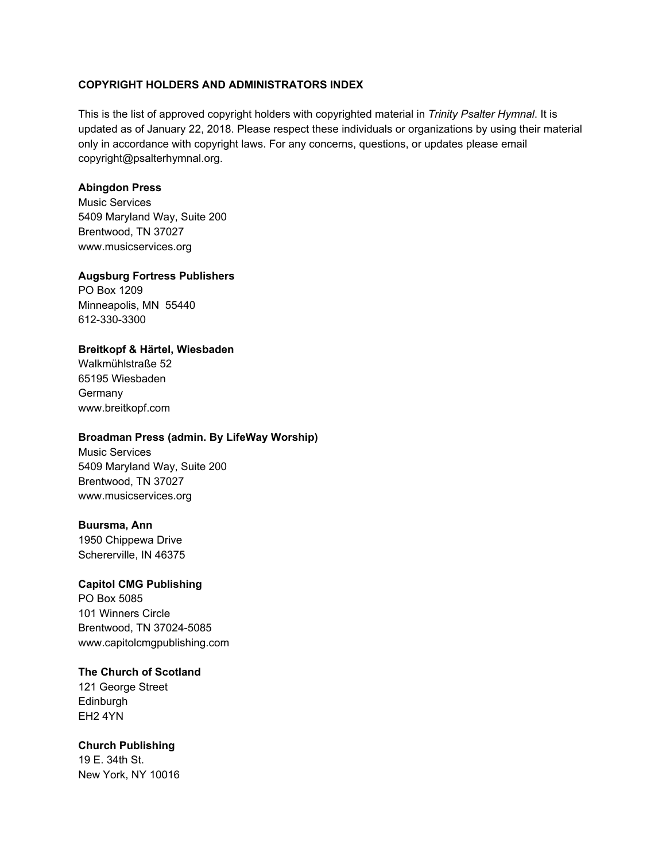# **COPYRIGHT HOLDERS AND ADMINISTRATORS INDEX**

This is the list of approved copyright holders with copyrighted material in *Trinity Psalter Hymnal*. It is updated as of January 22, 2018. Please respect these individuals or organizations by using their material only in accordance with copyright laws. For any concerns, questions, or updates please email [copyright@psalterhymnal.org](mailto:copyright@psalterhymnal.org).

# **Abingdon Press**

Music Services 5409 Maryland Way, Suite 200 Brentwood, TN 37027 [www.musicservices.org](http://www.musicservices.org/)

#### **Augsburg Fortress Publishers**

PO Box 1209 Minneapolis, MN 55440 612-330-3300

# **Breitkopf & Härtel, Wiesbaden**

Walkmühlstraße 52 65195 Wiesbaden **Germany** [www.breitkopf.com](http://www.breitkopf.com/)

# **Broadman Press (admin. By LifeWay Worship)**

Music Services 5409 Maryland Way, Suite 200 Brentwood, TN 37027 www.musicservices.org

## **Buursma, Ann**

1950 Chippewa Drive Schererville, IN 46375

## **Capitol CMG Publishing**

PO Box 5085 101 Winners Circle Brentwood, TN 37024-5085 [www.capitolcmgpublishing.com](http://www.capitolcmgpublishing.com/)

## **The Church of Scotland**

121 George Street Edinburgh EH2 4YN

## **Church Publishing**

19 E. 34th St. New York, NY 10016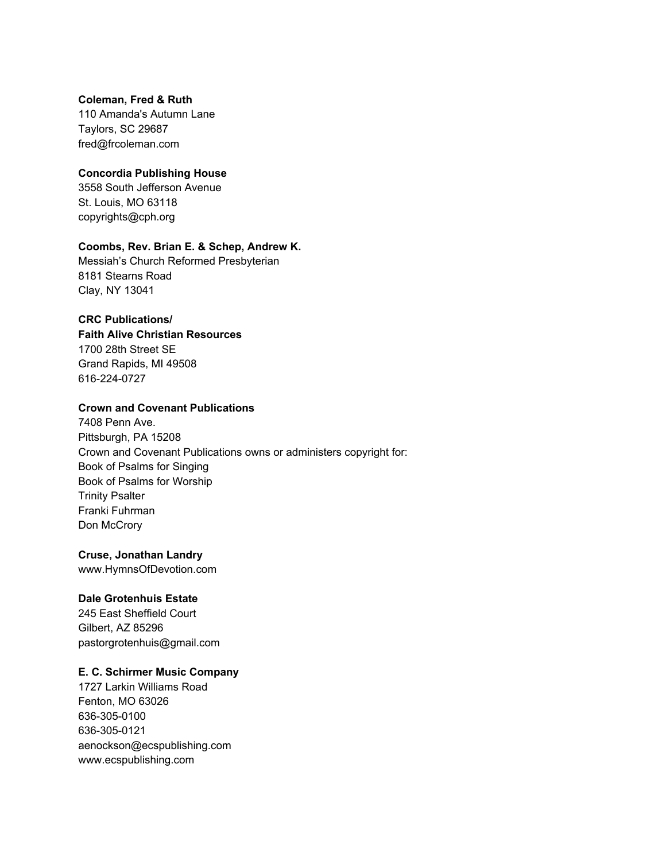## **Coleman, Fred & Ruth**

110 Amanda's Autumn Lane Taylors, SC 29687 [fred@frcoleman.com](mailto:fred@frcoleman.com)

# **Concordia Publishing House**

3558 South Jefferson Avenue St. Louis, MO 63118 copyrights@cph.org

# **Coombs, Rev. Brian E. & Schep, Andrew K.**

Messiah's Church Reformed Presbyterian 8181 Stearns Road Clay, NY 13041

# **CRC Publications/**

**Faith Alive Christian Resources** 1700 28th Street SE Grand Rapids, MI 49508 616-224-0727

# **Crown and Covenant Publications**

7408 Penn Ave. Pittsburgh, PA 15208 Crown and Covenant Publications owns or administers copyright for: Book of Psalms for Singing Book of Psalms for Worship Trinity Psalter Franki Fuhrman Don McCrory

# **Cruse, Jonathan Landry**

www.HymnsOfDevotion.com

## **Dale Grotenhuis Estate**

245 East Sheffield Court Gilbert, AZ 85296 pastorgrotenhuis@gmail.com

# **E. C. Schirmer Music Company**

1727 Larkin Williams Road Fenton, MO 63026 636-305-0100 636-305-0121 aenockson@ecspublishing.com [www.ecspublishing.com](http://www.ecspublishing.com/)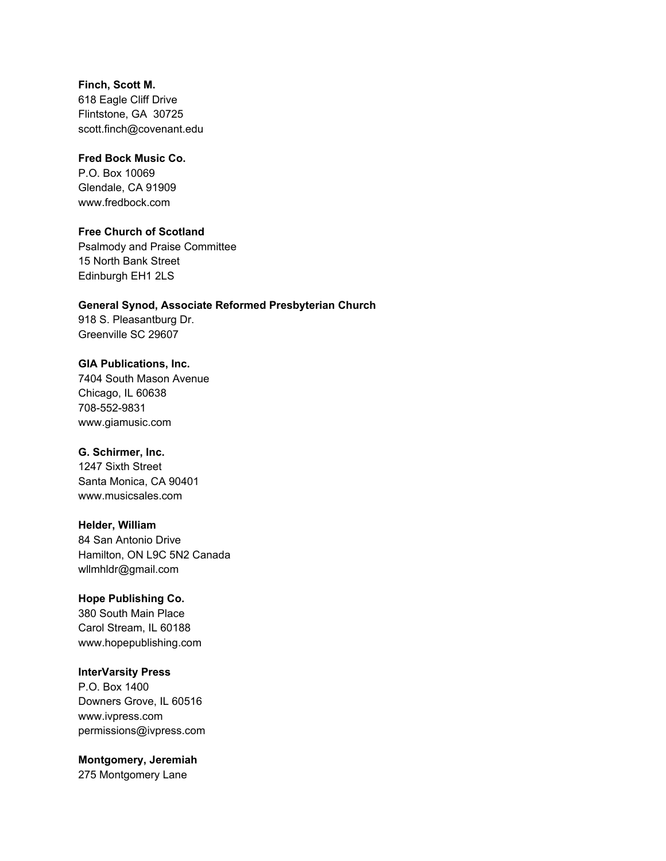**Finch, Scott M.** 618 Eagle Cliff Drive Flintstone, GA 30725 scott.finch@covenant.edu

#### **Fred Bock Music Co.**

P.O. Box 10069 Glendale, CA 91909 www.fredbock.com

# **Free Church of Scotland**

Psalmody and Praise Committee 15 North Bank Street Edinburgh EH1 2LS

# **General Synod, Associate Reformed Presbyterian Church**

918 S. Pleasantburg Dr. Greenville SC 29607

#### **GIA Publications, Inc.**

7404 South Mason Avenue Chicago, IL 60638 708-552-9831 www.giamusic.com

## **G. Schirmer, Inc.**

1247 Sixth Street Santa Monica, CA 90401 [www.musicsales.com](http://www.musicsales.com/)

### **Helder, William**

84 San Antonio Drive Hamilton, ON L9C 5N2 Canada wllmhldr@gmail.com

# **Hope Publishing Co.**

380 South Main Place Carol Stream, IL 60188 www.hopepublishing.com

## **InterVarsity Press**

P.O. Box 1400 Downers Grove, IL 60516 [www.ivpress.com](http://www.ivpress.com/) [permissions@ivpress.com](mailto:permissions@ivpress.com)

## **Montgomery, Jeremiah**

275 Montgomery Lane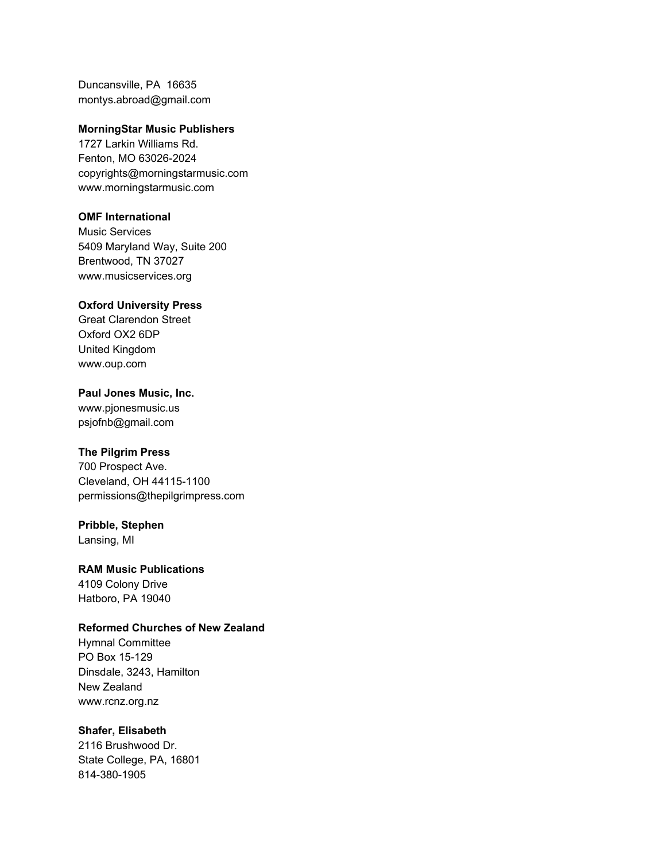Duncansville, PA 16635 [montys.abroad@gmail.com](mailto:montys.abroad@gmail.com)

#### **MorningStar Music Publishers**

1727 Larkin Williams Rd. Fenton, MO 63026-2024 [copyrights@morningstarmusic.com](mailto:copyrights@morningstarmusic.com) [www.morningstarmusic.com](http://www.morningstarmusic.com/)

## **OMF International**

Music Services 5409 Maryland Way, Suite 200 Brentwood, TN 37027 www.musicservices.org

# **Oxford University Press**

Great Clarendon Street Oxford OX2 6DP United Kingdom [www.oup.com](http://www.oup.com/)

#### **Paul Jones Music, Inc.**

[www.pjonesmusic.us](http://www.pjonesmusic.us/) [psjofnb@gmail.com](mailto:psjofnb@gmail.com)

## **The Pilgrim Press**

700 Prospect Ave. Cleveland, OH 44115-1100 [permissions@thepilgrimpress.com](mailto:permissions@thepilgrimpress.com)

## **Pribble, Stephen**

Lansing, MI

## **RAM Music Publications**

4109 Colony Drive Hatboro, PA 19040

# **Reformed Churches of New Zealand**

Hymnal Committee PO Box 15-129 Dinsdale, 3243, Hamilton New Zealand [www.rcnz.org.nz](http://www.rcnz.org.nz/)

# **Shafer, Elisabeth**

2116 Brushwood Dr. State College, PA, 16801 814-380-1905